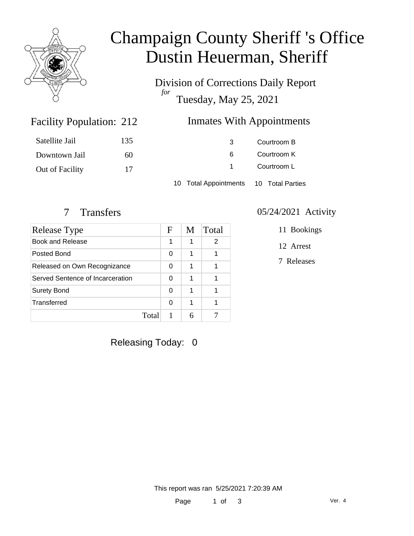

# Champaign County Sheriff 's Office Dustin Heuerman, Sheriff

Division of Corrections Daily Report *for* Tuesday, May 25, 2021

### Inmates With Appointments

| Satellite Jail  | 135 | 3                                      | Courtroom B |  |
|-----------------|-----|----------------------------------------|-------------|--|
| Downtown Jail   | 60  | 6                                      | Courtroom K |  |
| Out of Facility | 17  |                                        | Courtroom L |  |
|                 |     | 10 Total Appointments 10 Total Parties |             |  |

Facility Population: 212

| Release Type                     |       | F | M | Total |
|----------------------------------|-------|---|---|-------|
| Book and Release                 |       | 1 | 1 | 2     |
| Posted Bond                      |       | 0 | 1 |       |
| Released on Own Recognizance     |       | 0 | 1 |       |
| Served Sentence of Incarceration |       | 0 | 1 |       |
| <b>Surety Bond</b>               |       | 0 | 1 |       |
| Transferred                      |       | 0 | 1 |       |
|                                  | Total |   |   |       |

#### 7 Transfers 05/24/2021 Activity

11 Bookings

12 Arrest

7 Releases

Releasing Today: 0

This report was ran 5/25/2021 7:20:39 AM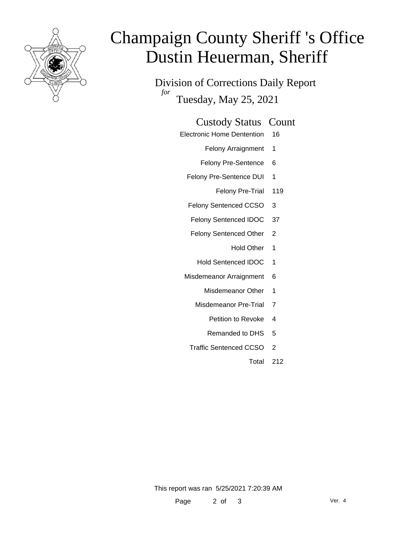

# Champaign County Sheriff 's Office Dustin Heuerman, Sheriff

Division of Corrections Daily Report *for* Tuesday, May 25, 2021

#### Custody Status Count

Electronic Home Dentention 16

Felony Arraignment 1

- Felony Pre-Sentence 6
- Felony Pre-Sentence DUI 1
	- Felony Pre-Trial 119
- Felony Sentenced CCSO 3
- Felony Sentenced IDOC 37
- Felony Sentenced Other 2
	- Hold Other 1
	- Hold Sentenced IDOC 1
- Misdemeanor Arraignment 6
	- Misdemeanor Other 1
	- Misdemeanor Pre-Trial 7
		- Petition to Revoke 4
		- Remanded to DHS 5
	- Traffic Sentenced CCSO 2
		- Total 212